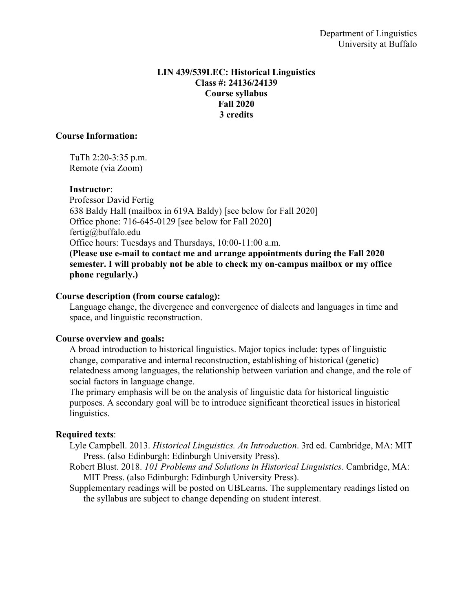### **LIN 439/539LEC: Historical Linguistics Class #: 24136/24139 Course syllabus Fall 2020 3 credits**

### **Course Information:**

TuTh 2:20-3:35 p.m. Remote (via Zoom)

### **Instructor**:

Professor David Fertig 638 Baldy Hall (mailbox in 619A Baldy) [see below for Fall 2020] Office phone: 716-645-0129 [see below for Fall 2020] fertig@buffalo.edu Office hours: Tuesdays and Thursdays, 10:00-11:00 a.m.

**(Please use e-mail to contact me and arrange appointments during the Fall 2020 semester. I will probably not be able to check my on-campus mailbox or my office phone regularly.)**

### **Course description (from course catalog):**

Language change, the divergence and convergence of dialects and languages in time and space, and linguistic reconstruction.

# **Course overview and goals:**

A broad introduction to historical linguistics. Major topics include: types of linguistic change, comparative and internal reconstruction, establishing of historical (genetic) relatedness among languages, the relationship between variation and change, and the role of social factors in language change.

The primary emphasis will be on the analysis of linguistic data for historical linguistic purposes. A secondary goal will be to introduce significant theoretical issues in historical linguistics.

# **Required texts**:

- Lyle Campbell. 2013. *Historical Linguistics. An Introduction*. 3rd ed. Cambridge, MA: MIT Press. (also Edinburgh: Edinburgh University Press).
- Robert Blust. 2018. *101 Problems and Solutions in Historical Linguistics*. Cambridge, MA: MIT Press. (also Edinburgh: Edinburgh University Press).
- Supplementary readings will be posted on UBLearns. The supplementary readings listed on the syllabus are subject to change depending on student interest.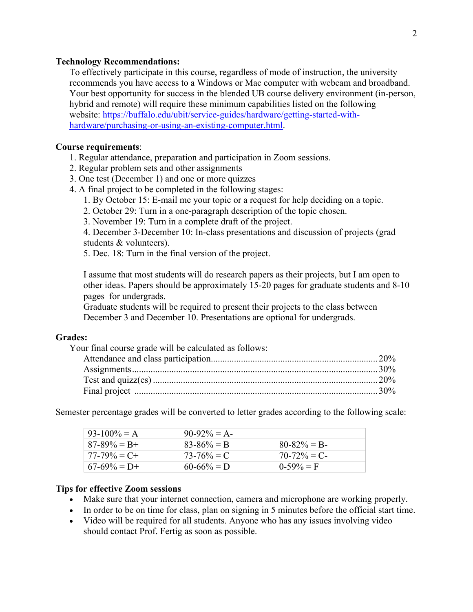#### **Technology Recommendations:**

To effectively participate in this course, regardless of mode of instruction, the university recommends you have access to a Windows or Mac computer with webcam and broadband. Your best opportunity for success in the blended UB course delivery environment (in-person, hybrid and remote) will require these minimum capabilities listed on the following website: https://buffalo.edu/ubit/service-guides/hardware/getting-started-withhardware/purchasing-or-using-an-existing-computer.html.

#### **Course requirements**:

- 1. Regular attendance, preparation and participation in Zoom sessions.
- 2. Regular problem sets and other assignments
- 3. One test (December 1) and one or more quizzes
- 4. A final project to be completed in the following stages:
	- 1. By October 15: E-mail me your topic or a request for help deciding on a topic.
	- 2. October 29: Turn in a one-paragraph description of the topic chosen.
	- 3. November 19: Turn in a complete draft of the project.

4. December 3-December 10: In-class presentations and discussion of projects (grad students & volunteers).

5. Dec. 18: Turn in the final version of the project.

I assume that most students will do research papers as their projects, but I am open to other ideas. Papers should be approximately 15-20 pages for graduate students and 8-10 pages for undergrads.

Graduate students will be required to present their projects to the class between December 3 and December 10. Presentations are optional for undergrads.

#### **Grades:**

Your final course grade will be calculated as follows:

Semester percentage grades will be converted to letter grades according to the following scale:

| $93-100\% = A$  | $90-92\% = A$   |                 |
|-----------------|-----------------|-----------------|
| $87-89\% = B +$ | $83 - 86\% = B$ | $80 - 82\% = B$ |
| $77-79\% = C +$ | $73 - 76\% = C$ | $70-72\% = C$   |
| $67-69\% = D+$  | $60 - 66\% = D$ | $0-59\% = F$    |

### **Tips for effective Zoom sessions**

- Make sure that your internet connection, camera and microphone are working properly.
- In order to be on time for class, plan on signing in 5 minutes before the official start time.
- Video will be required for all students. Anyone who has any issues involving video should contact Prof. Fertig as soon as possible.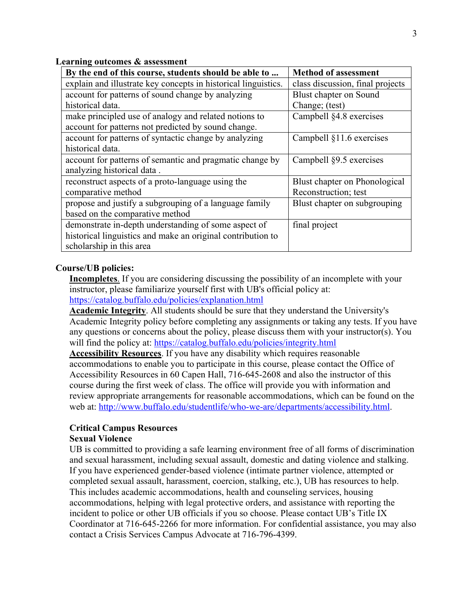**Learning outcomes & assessment**

| By the end of this course, students should be able to          | <b>Method of assessment</b>      |  |  |
|----------------------------------------------------------------|----------------------------------|--|--|
| explain and illustrate key concepts in historical linguistics. | class discussion, final projects |  |  |
| account for patterns of sound change by analyzing              | Blust chapter on Sound           |  |  |
| historical data.                                               | Change; (test)                   |  |  |
| make principled use of analogy and related notions to          | Campbell §4.8 exercises          |  |  |
| account for patterns not predicted by sound change.            |                                  |  |  |
| account for patterns of syntactic change by analyzing          | Campbell §11.6 exercises         |  |  |
| historical data.                                               |                                  |  |  |
| account for patterns of semantic and pragmatic change by       | Campbell §9.5 exercises          |  |  |
| analyzing historical data.                                     |                                  |  |  |
| reconstruct aspects of a proto-language using the              | Blust chapter on Phonological    |  |  |
| comparative method                                             | Reconstruction; test             |  |  |
| propose and justify a subgrouping of a language family         | Blust chapter on subgrouping     |  |  |
| based on the comparative method                                |                                  |  |  |
| demonstrate in-depth understanding of some aspect of           | final project                    |  |  |
| historical linguistics and make an original contribution to    |                                  |  |  |
| scholarship in this area                                       |                                  |  |  |

### **Course/UB policies:**

**Incompletes**. If you are considering discussing the possibility of an incomplete with your instructor, please familiarize yourself first with UB's official policy at: https://catalog.buffalo.edu/policies/explanation.html

**Academic Integrity**. All students should be sure that they understand the University's Academic Integrity policy before completing any assignments or taking any tests. If you have any questions or concerns about the policy, please discuss them with your instructor(s). You will find the policy at: https://catalog.buffalo.edu/policies/integrity.html

**Accessibility Resources**. If you have any disability which requires reasonable accommodations to enable you to participate in this course, please contact the Office of Accessibility Resources in 60 Capen Hall, 716-645-2608 and also the instructor of this course during the first week of class. The office will provide you with information and review appropriate arrangements for reasonable accommodations, which can be found on the web at: http://www.buffalo.edu/studentlife/who-we-are/departments/accessibility.html.

# **Critical Campus Resources**

### **Sexual Violence**

UB is committed to providing a safe learning environment free of all forms of discrimination and sexual harassment, including sexual assault, domestic and dating violence and stalking. If you have experienced gender-based violence (intimate partner violence, attempted or completed sexual assault, harassment, coercion, stalking, etc.), UB has resources to help. This includes academic accommodations, health and counseling services, housing accommodations, helping with legal protective orders, and assistance with reporting the incident to police or other UB officials if you so choose. Please contact UB's Title IX Coordinator at 716-645-2266 for more information. For confidential assistance, you may also contact a Crisis Services Campus Advocate at 716-796-4399.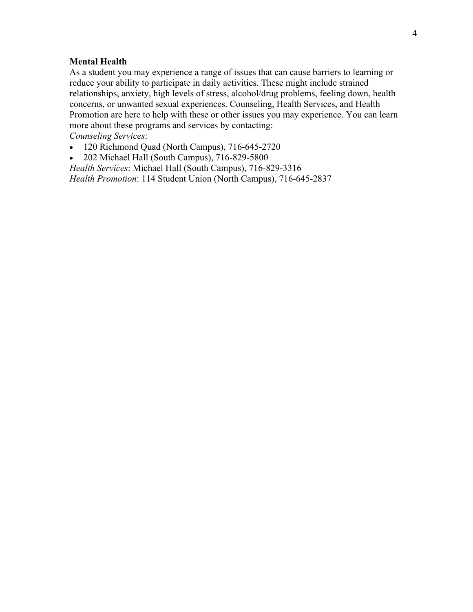#### **Mental Health**

As a student you may experience a range of issues that can cause barriers to learning or reduce your ability to participate in daily activities. These might include strained relationships, anxiety, high levels of stress, alcohol/drug problems, feeling down, health concerns, or unwanted sexual experiences. Counseling, Health Services, and Health Promotion are here to help with these or other issues you may experience. You can learn more about these programs and services by contacting: *Counseling Services*:

- 120 Richmond Quad (North Campus), 716-645-2720
- 202 Michael Hall (South Campus), 716-829-5800

*Health Services*: Michael Hall (South Campus), 716-829-3316 *Health Promotion*: 114 Student Union (North Campus), 716-645-2837